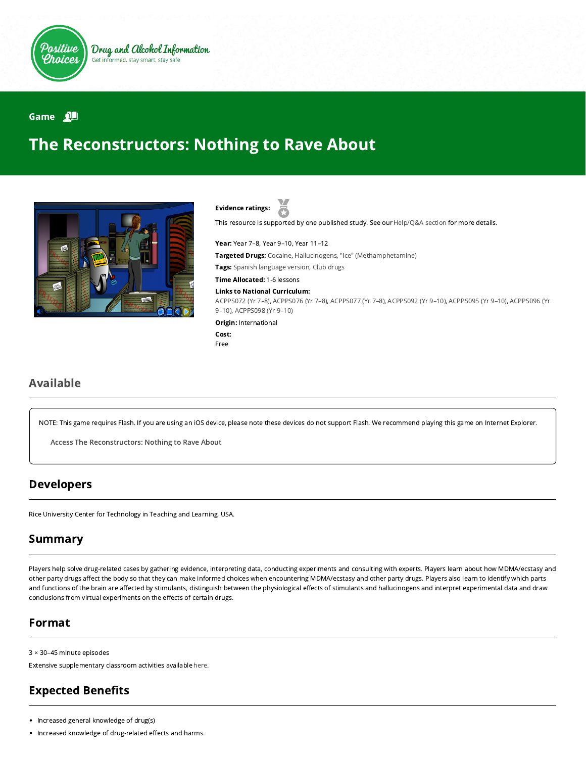

Drug and Alcohol Information Get informed, stay smart, stay safe

#### Game 2

# The Reconstructors: Nothing to Rave About



Evidence ratings:

This resource is supported by one published study. See our [Help/Q&A section](https://positivechoices.org.au/help/questions-and-answers/) for more details.

Year: Year 7–8, Year 9–10, Year 11–12 Targeted Drugs: Cocaine, Hallucinogens, "Ice" (Methamphetamine) Tags: Spanish language version, Club drugs Time Allocated: 1-6 lessons Links to National Curriculum:

[ACPPS072 \(Yr 7–8](http://www.australiancurriculum.edu.au/Curriculum/ContentDescription/ACPPS072)[\),](http://www.australiancurriculum.edu.au/Curriculum/ContentDescription/ACPPS096) [ACPPS076 \(Yr 7–8](http://www.australiancurriculum.edu.au/Curriculum/ContentDescription/ACPPS076)[\), A](http://www.australiancurriculum.edu.au/Curriculum/ContentDescription/ACPPS096)[CPPS077 \(Yr 7–8](http://www.australiancurriculum.edu.au/Curriculum/ContentDescription/ACPPS077)[\),](http://www.australiancurriculum.edu.au/Curriculum/ContentDescription/ACPPS096) [ACPPS092 \(Yr 9–10](http://www.australiancurriculum.edu.au/Curriculum/ContentDescription/ACPPS092)[\), A](http://www.australiancurriculum.edu.au/Curriculum/ContentDescription/ACPPS096)[CPPS095 \(Yr 9–10\)](http://www.australiancurriculum.edu.au/Curriculum/ContentDescription/ACPPS095)[, ACPPS096 \(Yr](http://www.australiancurriculum.edu.au/Curriculum/ContentDescription/ACPPS096) 9–10), [ACPPS098 \(Yr 9–10\)](http://www.australiancurriculum.edu.au/Curriculum/ContentDescription/ACPPS098)

Origin: International

Cost: Free

### Available

NOTE: This game requires Flash. If you are using an iOS device, please note these devices do not support Flash. We recommend playing this game on Internet Explorer.

Access The [Reconstructors:](http://webadventures.rice.edu/stu/Games/Reconstructors/_701/Game-Overview.html) Nothing to Rave About

### Developers

Rice University Center for Technology in Teaching and Learning, USA.

## Summary

Players help solve drug-related cases by gathering evidence, interpreting data, conducting experiments and consulting with experts. Players learn about how MDMA/ecstasy and other party drugs affect the body so that they can make informed choices when encountering MDMA/ecstasy and other party drugs. Players also learn to identify which parts and functions of the brain are affected by stimulants, distinguish between the physiological effects of stimulants and hallucinogens and interpret experimental data and draw conclusions from virtual experiments on the effects of certain drugs.

### Format

3 × 30–45 minute episodes

Extensive supplementary classroom activities available [here.](http://webadventures.rice.edu/ed/Teacher-Resources/_games/Reconstructors/_701/Teacher-Materials.html)

## **Expected Benefits**

- Increased general knowledge of drug(s)
- Increased knowledge of drug-related effects and harms.